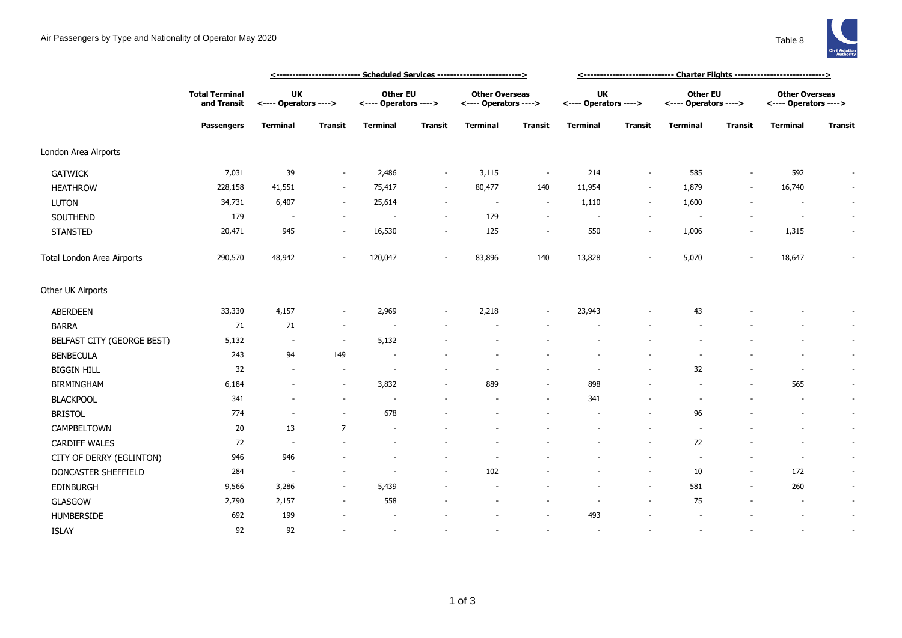

|                            |                                                           |                                    | <u> &lt;--------------------------- Scheduled Services --------------------------&gt;</u> |                                   | <u> &lt;-----------------------------  Charter Flights ----------------------------&gt;</u> |                                                |                          |                                    |                          |                                          |                          |                                                |                          |
|----------------------------|-----------------------------------------------------------|------------------------------------|-------------------------------------------------------------------------------------------|-----------------------------------|---------------------------------------------------------------------------------------------|------------------------------------------------|--------------------------|------------------------------------|--------------------------|------------------------------------------|--------------------------|------------------------------------------------|--------------------------|
|                            | <b>Total Terminal</b><br>and Transit<br><b>Passengers</b> | <b>UK</b><br><---- Operators ----> |                                                                                           | Other EU<br><---- Operators ----> |                                                                                             | <b>Other Overseas</b><br><---- Operators ----> |                          | <b>UK</b><br><---- Operators ----> |                          | <b>Other EU</b><br><---- Operators ----> |                          | <b>Other Overseas</b><br><---- Operators ----> |                          |
|                            |                                                           | <b>Terminal</b>                    | <b>Transit</b>                                                                            | <b>Terminal</b>                   | <b>Transit</b>                                                                              | <b>Terminal</b>                                | Transit                  | <b>Terminal</b>                    | <b>Transit</b>           | <b>Terminal</b>                          | <b>Transit</b>           | <b>Terminal</b>                                | <b>Transit</b>           |
| London Area Airports       |                                                           |                                    |                                                                                           |                                   |                                                                                             |                                                |                          |                                    |                          |                                          |                          |                                                |                          |
| <b>GATWICK</b>             | 7,031                                                     | 39                                 | $\sim$                                                                                    | 2,486                             | $\sim$                                                                                      | 3,115                                          | $\sim$                   | 214                                | $\overline{\phantom{a}}$ | 585                                      | $\overline{\phantom{a}}$ | 592                                            |                          |
| <b>HEATHROW</b>            | 228,158                                                   | 41,551                             | $\sim$                                                                                    | 75,417                            | $\sim$                                                                                      | 80,477                                         | 140                      | 11,954                             | $\overline{\phantom{a}}$ | 1,879                                    | $\sim$                   | 16,740                                         | $\sim$                   |
| <b>LUTON</b>               | 34,731                                                    | 6,407                              | $\sim$                                                                                    | 25,614                            | $\sim$                                                                                      | $\sim$                                         | $\sim$                   | 1,110                              | $\overline{\phantom{a}}$ | 1,600                                    |                          | $\sim$                                         | $\sim$                   |
| SOUTHEND                   | 179                                                       | $\overline{\phantom{a}}$           | $\sim$                                                                                    |                                   |                                                                                             | 179                                            | $\overline{\phantom{a}}$ | $\overline{\phantom{a}}$           | $\overline{\phantom{a}}$ |                                          |                          | $\sim$                                         | $\overline{\phantom{a}}$ |
| <b>STANSTED</b>            | 20,471                                                    | 945                                |                                                                                           | 16,530                            |                                                                                             | 125                                            | $\overline{\phantom{a}}$ | 550                                | $\sim$                   | 1,006                                    | $\overline{\phantom{a}}$ | 1,315                                          | $\overline{\phantom{a}}$ |
| Total London Area Airports | 290,570                                                   | 48,942                             |                                                                                           | 120,047                           |                                                                                             | 83,896                                         | 140                      | 13,828                             | $\sim$                   | 5,070                                    |                          | 18,647                                         |                          |
| Other UK Airports          |                                                           |                                    |                                                                                           |                                   |                                                                                             |                                                |                          |                                    |                          |                                          |                          |                                                |                          |
| <b>ABERDEEN</b>            | 33,330                                                    | 4,157                              | $\sim$                                                                                    | 2,969                             |                                                                                             | 2,218                                          | $\overline{\phantom{a}}$ | 23,943                             |                          | 43                                       |                          |                                                | $\overline{\phantom{a}}$ |
| <b>BARRA</b>               | 71                                                        | 71                                 | $\sim$                                                                                    | $\overline{\phantom{a}}$          |                                                                                             |                                                |                          |                                    |                          |                                          |                          |                                                | $\overline{\phantom{a}}$ |
| BELFAST CITY (GEORGE BEST) | 5,132                                                     | $\overline{\phantom{a}}$           | $\sim$                                                                                    | 5,132                             |                                                                                             |                                                |                          |                                    |                          |                                          |                          |                                                | $\sim$                   |
| <b>BENBECULA</b>           | 243                                                       | 94                                 | 149                                                                                       |                                   |                                                                                             |                                                |                          |                                    |                          |                                          |                          |                                                | $\overline{\phantom{a}}$ |
| <b>BIGGIN HILL</b>         | 32                                                        | $\sim$                             | $\overline{\phantom{a}}$                                                                  | $\overline{\phantom{a}}$          |                                                                                             |                                                | ٠                        | $\overline{\phantom{a}}$           | $\sim$                   | 32                                       |                          | $\overline{\phantom{a}}$                       | $\sim$                   |
| <b>BIRMINGHAM</b>          | 6,184                                                     | $\overline{a}$                     |                                                                                           | 3,832                             |                                                                                             | 889                                            | $\overline{\phantom{a}}$ | 898                                |                          |                                          | ٠                        | 565                                            | $\sim$                   |
| <b>BLACKPOOL</b>           | 341                                                       | $\overline{\phantom{a}}$           |                                                                                           | $\overline{\phantom{a}}$          |                                                                                             |                                                | $\sim$                   | 341                                |                          | $\overline{\phantom{a}}$                 |                          | $\overline{\phantom{a}}$                       | $\sim$                   |
| <b>BRISTOL</b>             | 774                                                       | $\blacksquare$                     |                                                                                           | 678                               |                                                                                             |                                                |                          |                                    | $\overline{\phantom{a}}$ | 96                                       |                          |                                                | $\sim$                   |
| CAMPBELTOWN                | 20                                                        | 13                                 | $\overline{7}$                                                                            |                                   |                                                                                             |                                                |                          |                                    |                          | $\sim$                                   |                          |                                                | $\sim$                   |
| <b>CARDIFF WALES</b>       | 72                                                        | $\overline{\phantom{a}}$           |                                                                                           | ٠                                 |                                                                                             |                                                |                          |                                    | $\sim$                   | 72                                       |                          |                                                | $\sim$                   |
| CITY OF DERRY (EGLINTON)   | 946                                                       | 946                                |                                                                                           |                                   |                                                                                             |                                                |                          |                                    | $\overline{\phantom{a}}$ | $\sim$                                   |                          | $\overline{\phantom{a}}$                       | $\sim$                   |
| DONCASTER SHEFFIELD        | 284                                                       | $\overline{\phantom{a}}$           |                                                                                           | ٠                                 | $\overline{\phantom{a}}$                                                                    | 102                                            |                          |                                    | $\overline{\phantom{a}}$ | 10                                       | $\overline{\phantom{a}}$ | 172                                            | $\sim$                   |
| <b>EDINBURGH</b>           | 9,566                                                     | 3,286                              | $\sim$                                                                                    | 5,439                             |                                                                                             |                                                |                          |                                    | $\sim$                   | 581                                      | $\overline{\phantom{a}}$ | 260                                            | $\sim$                   |
| <b>GLASGOW</b>             | 2,790                                                     | 2,157                              | $\sim$                                                                                    | 558                               |                                                                                             |                                                |                          |                                    | $\overline{\phantom{a}}$ | 75                                       |                          |                                                | $\overline{\phantom{a}}$ |
| <b>HUMBERSIDE</b>          | 692                                                       | 199                                |                                                                                           |                                   |                                                                                             |                                                |                          | 493                                |                          |                                          |                          |                                                | $\overline{\phantom{a}}$ |
| <b>ISLAY</b>               | 92                                                        | 92                                 |                                                                                           | ÷.                                |                                                                                             |                                                | ÷                        | ÷                                  |                          | $\overline{\phantom{a}}$                 |                          |                                                | $\overline{\phantom{a}}$ |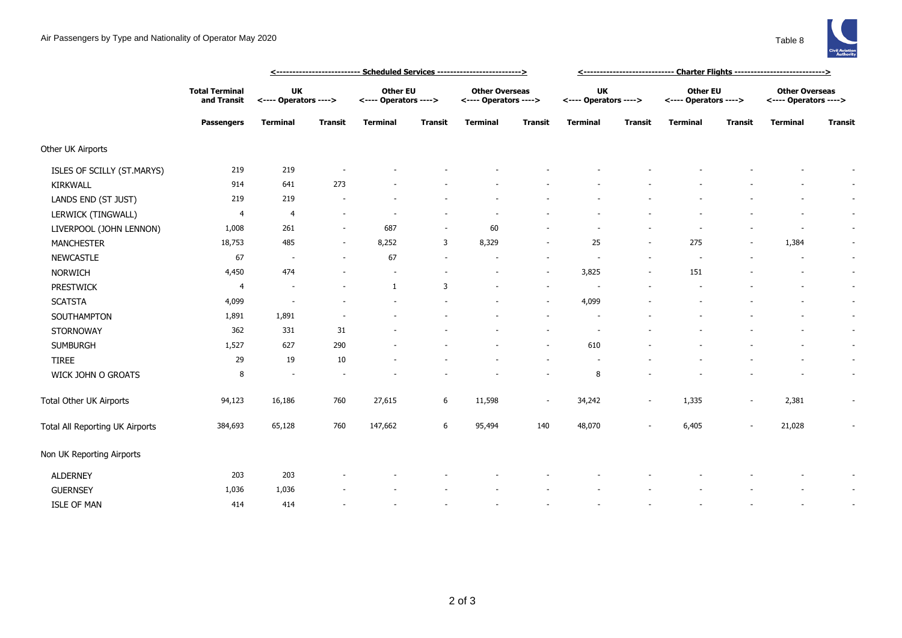

|                                 | <b>Total Terminal</b><br>and Transit<br><b>Passengers</b> |                             |                          | <--------------------------- Scheduled Services -------------------------> | <------------------------------ Charter Flights ---------------------------> |                                                |                          |                             |                          |                                          |                          |                                                |                          |
|---------------------------------|-----------------------------------------------------------|-----------------------------|--------------------------|----------------------------------------------------------------------------|------------------------------------------------------------------------------|------------------------------------------------|--------------------------|-----------------------------|--------------------------|------------------------------------------|--------------------------|------------------------------------------------|--------------------------|
|                                 |                                                           | UK<br><---- Operators ----> |                          | <b>Other EU</b><br><---- Operators ---->                                   |                                                                              | <b>Other Overseas</b><br><---- Operators ----> |                          | UK<br><---- Operators ----> |                          | <b>Other EU</b><br><---- Operators ----> |                          | <b>Other Overseas</b><br><---- Operators ----> |                          |
|                                 |                                                           | <b>Terminal</b>             | <b>Transit</b>           | <b>Terminal</b>                                                            | <b>Transit</b>                                                               | <b>Terminal</b>                                | Transit                  | <b>Terminal</b>             | <b>Transit</b>           | <b>Terminal</b>                          | <b>Transit</b>           | <b>Terminal</b>                                | <b>Transit</b>           |
| Other UK Airports               |                                                           |                             |                          |                                                                            |                                                                              |                                                |                          |                             |                          |                                          |                          |                                                |                          |
| ISLES OF SCILLY (ST.MARYS)      | 219                                                       | 219                         |                          |                                                                            |                                                                              |                                                |                          |                             |                          |                                          |                          |                                                |                          |
| <b>KIRKWALL</b>                 | 914                                                       | 641                         | 273                      |                                                                            |                                                                              |                                                |                          |                             |                          |                                          |                          |                                                | $\overline{\phantom{a}}$ |
| LANDS END (ST JUST)             | 219                                                       | 219                         |                          |                                                                            |                                                                              |                                                |                          |                             |                          |                                          |                          |                                                | $\overline{\phantom{a}}$ |
| LERWICK (TINGWALL)              | $\overline{4}$                                            | 4                           | ٠                        |                                                                            |                                                                              |                                                |                          |                             |                          |                                          |                          |                                                | $\sim$                   |
| LIVERPOOL (JOHN LENNON)         | 1,008                                                     | 261                         | $\overline{\phantom{a}}$ | 687                                                                        | $\overline{\phantom{a}}$                                                     | 60                                             |                          |                             |                          |                                          |                          |                                                | $\sim$                   |
| <b>MANCHESTER</b>               | 18,753                                                    | 485                         | $\overline{a}$           | 8,252                                                                      | 3                                                                            | 8,329                                          |                          | 25                          |                          | 275                                      |                          | 1,384                                          | $\overline{\phantom{a}}$ |
| <b>NEWCASTLE</b>                | 67                                                        | $\overline{\phantom{a}}$    | $\overline{a}$           | 67                                                                         |                                                                              |                                                |                          |                             |                          |                                          |                          |                                                | $\sim$                   |
| <b>NORWICH</b>                  | 4,450                                                     | 474                         |                          |                                                                            |                                                                              |                                                | $\sim$                   | 3,825                       |                          | 151                                      |                          |                                                | $\sim$                   |
| <b>PRESTWICK</b>                | 4                                                         |                             |                          | $\mathbf{1}$                                                               | 3                                                                            |                                                | $\sim$                   |                             |                          |                                          |                          |                                                | $\sim$                   |
| <b>SCATSTA</b>                  | 4,099                                                     | $\sim$                      |                          |                                                                            |                                                                              |                                                | $\sim$                   | 4,099                       |                          |                                          |                          |                                                | $\sim$                   |
| SOUTHAMPTON                     | 1,891                                                     | 1,891                       |                          |                                                                            |                                                                              |                                                | $\overline{\phantom{a}}$ |                             |                          |                                          |                          |                                                | $\sim$                   |
| <b>STORNOWAY</b>                | 362                                                       | 331                         | 31                       |                                                                            |                                                                              |                                                |                          | $\overline{\phantom{a}}$    |                          |                                          |                          |                                                | $\sim$                   |
| <b>SUMBURGH</b>                 | 1,527                                                     | 627                         | 290                      |                                                                            |                                                                              |                                                | $\overline{\phantom{a}}$ | 610                         |                          |                                          |                          |                                                | $\sim$                   |
| <b>TIREE</b>                    | 29                                                        | 19                          | 10                       |                                                                            |                                                                              |                                                |                          |                             |                          |                                          |                          |                                                | $\sim$                   |
| WICK JOHN O GROATS              | 8                                                         |                             |                          |                                                                            |                                                                              |                                                |                          | 8                           |                          |                                          |                          |                                                | $\overline{\phantom{a}}$ |
| Total Other UK Airports         | 94,123                                                    | 16,186                      | 760                      | 27,615                                                                     | 6                                                                            | 11,598                                         | $\sim$                   | 34,242                      | $\overline{\phantom{a}}$ | 1,335                                    | $\overline{\phantom{a}}$ | 2,381                                          |                          |
| Total All Reporting UK Airports | 384,693                                                   | 65,128                      | 760                      | 147,662                                                                    | 6                                                                            | 95,494                                         | 140                      | 48,070                      |                          | 6,405                                    | $\overline{\phantom{a}}$ | 21,028                                         |                          |
| Non UK Reporting Airports       |                                                           |                             |                          |                                                                            |                                                                              |                                                |                          |                             |                          |                                          |                          |                                                |                          |
| <b>ALDERNEY</b>                 | 203                                                       | 203                         |                          |                                                                            |                                                                              |                                                |                          |                             |                          |                                          |                          |                                                | $\overline{\phantom{a}}$ |
| <b>GUERNSEY</b>                 | 1,036                                                     | 1,036                       |                          |                                                                            |                                                                              |                                                |                          |                             |                          |                                          |                          |                                                | $\overline{\phantom{a}}$ |
| <b>ISLE OF MAN</b>              | 414                                                       | 414                         |                          |                                                                            |                                                                              |                                                |                          |                             |                          |                                          |                          |                                                | $\sim$                   |